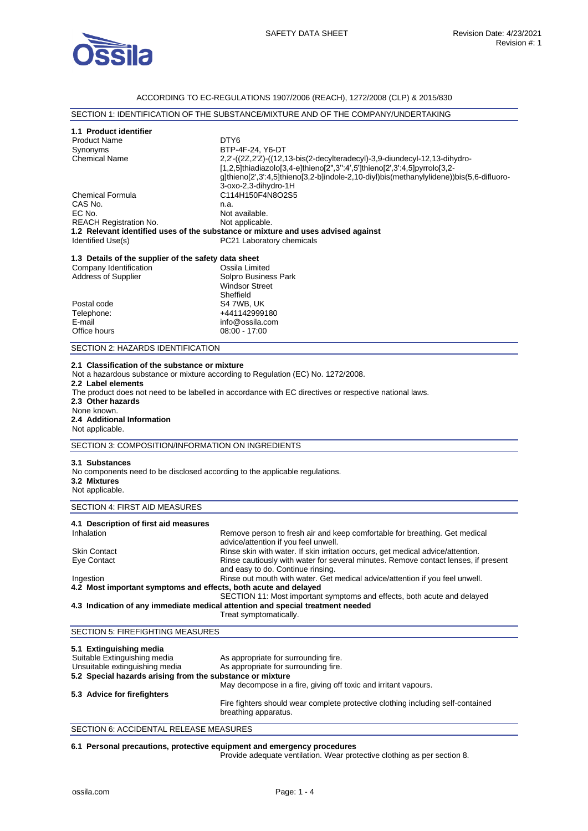

# ACCORDING TO EC-REGULATIONS 1907/2006 (REACH), 1272/2008 (CLP) & 2015/830

|                                                                                                         | SECTION 1: IDENTIFICATION OF THE SUBSTANCE/MIXTURE AND OF THE COMPANY/UNDERTAKING                                                                                                   |
|---------------------------------------------------------------------------------------------------------|-------------------------------------------------------------------------------------------------------------------------------------------------------------------------------------|
| 1.1 Product identifier                                                                                  |                                                                                                                                                                                     |
| <b>Product Name</b>                                                                                     | DTY <sub>6</sub>                                                                                                                                                                    |
| Synonyms                                                                                                | BTP-4F-24, Y6-DT                                                                                                                                                                    |
| <b>Chemical Name</b>                                                                                    | 2,2'-((2Z,2'Z)-((12,13-bis(2-decylteradecyl)-3,9-diundecyl-12,13-dihydro-                                                                                                           |
|                                                                                                         | [1,2,5]thiadiazolo[3,4-e]thieno[2",3":4',5']thieno[2',3':4,5]pyrrolo[3,2-                                                                                                           |
|                                                                                                         | g]thieno[2',3':4,5]thieno[3,2-b]indole-2,10-diyl)bis(methanylylidene))bis(5,6-difluoro-                                                                                             |
|                                                                                                         | 3-oxo-2,3-dihydro-1H                                                                                                                                                                |
| <b>Chemical Formula</b>                                                                                 | C114H150F4N8O2S5                                                                                                                                                                    |
| CAS No.                                                                                                 |                                                                                                                                                                                     |
| EC No.                                                                                                  | n.a.                                                                                                                                                                                |
|                                                                                                         | Not available.                                                                                                                                                                      |
| <b>REACH Registration No.</b>                                                                           | Not applicable.                                                                                                                                                                     |
|                                                                                                         | 1.2 Relevant identified uses of the substance or mixture and uses advised against                                                                                                   |
| Identified Use(s)                                                                                       | PC21 Laboratory chemicals                                                                                                                                                           |
| 1.3 Details of the supplier of the safety data sheet                                                    |                                                                                                                                                                                     |
| Company Identification                                                                                  | Ossila Limited                                                                                                                                                                      |
| <b>Address of Supplier</b>                                                                              | Solpro Business Park                                                                                                                                                                |
|                                                                                                         | <b>Windsor Street</b>                                                                                                                                                               |
|                                                                                                         | Sheffield                                                                                                                                                                           |
| Postal code                                                                                             | S4 7WB, UK                                                                                                                                                                          |
| Telephone:                                                                                              | +441142999180                                                                                                                                                                       |
| E-mail                                                                                                  | info@ossila.com                                                                                                                                                                     |
| Office hours                                                                                            | $08:00 - 17:00$                                                                                                                                                                     |
|                                                                                                         |                                                                                                                                                                                     |
| SECTION 2: HAZARDS IDENTIFICATION                                                                       |                                                                                                                                                                                     |
| 2.2 Label elements<br>2.3 Other hazards<br>None known.<br>2.4 Additional Information<br>Not applicable. | The product does not need to be labelled in accordance with EC directives or respective national laws.                                                                              |
| SECTION 3: COMPOSITION/INFORMATION ON INGREDIENTS                                                       |                                                                                                                                                                                     |
|                                                                                                         |                                                                                                                                                                                     |
| 3.1 Substances                                                                                          |                                                                                                                                                                                     |
| No components need to be disclosed according to the applicable regulations.                             |                                                                                                                                                                                     |
| 3.2 Mixtures                                                                                            |                                                                                                                                                                                     |
| Not applicable.                                                                                         |                                                                                                                                                                                     |
| SECTION 4: FIRST AID MEASURES                                                                           |                                                                                                                                                                                     |
| 4.1 Description of first aid measures                                                                   |                                                                                                                                                                                     |
| Inhalation                                                                                              | Remove person to fresh air and keep comfortable for breathing. Get medical                                                                                                          |
|                                                                                                         | advice/attention if you feel unwell.                                                                                                                                                |
| Skin Contact                                                                                            | Rinse skin with water. If skin irritation occurs, get medical advice/attention.                                                                                                     |
| Eye Contact                                                                                             | Rinse cautiously with water for several minutes. Remove contact lenses, if present                                                                                                  |
|                                                                                                         | and easy to do. Continue rinsing.                                                                                                                                                   |
|                                                                                                         |                                                                                                                                                                                     |
| Ingestion                                                                                               | Rinse out mouth with water. Get medical advice/attention if you feel unwell.                                                                                                        |
| 4.2 Most important symptoms and effects, both acute and delayed                                         |                                                                                                                                                                                     |
|                                                                                                         | SECTION 11: Most important symptoms and effects, both acute and delayed<br>4.3 Indication of any immediate medical attention and special treatment needed<br>Treat symptomatically. |
| <b>SECTION 5: FIREFIGHTING MEASURES</b>                                                                 |                                                                                                                                                                                     |
|                                                                                                         |                                                                                                                                                                                     |
| 5.1 Extinguishing media                                                                                 |                                                                                                                                                                                     |

| <b>J.I. EXUNGUISHING INCUIA</b>                           |                                                                                                         |
|-----------------------------------------------------------|---------------------------------------------------------------------------------------------------------|
| Suitable Extinguishing media                              | As appropriate for surrounding fire.                                                                    |
| Unsuitable extinguishing media                            | As appropriate for surrounding fire.                                                                    |
| 5.2 Special hazards arising from the substance or mixture |                                                                                                         |
|                                                           | May decompose in a fire, giving off toxic and irritant vapours.                                         |
| 5.3 Advice for firefighters                               |                                                                                                         |
|                                                           | Fire fighters should wear complete protective clothing including self-contained<br>breathing apparatus. |
|                                                           |                                                                                                         |

SECTION 6: ACCIDENTAL RELEASE MEASURES

### **6.1 Personal precautions, protective equipment and emergency procedures**

Provide adequate ventilation. Wear protective clothing as per section 8.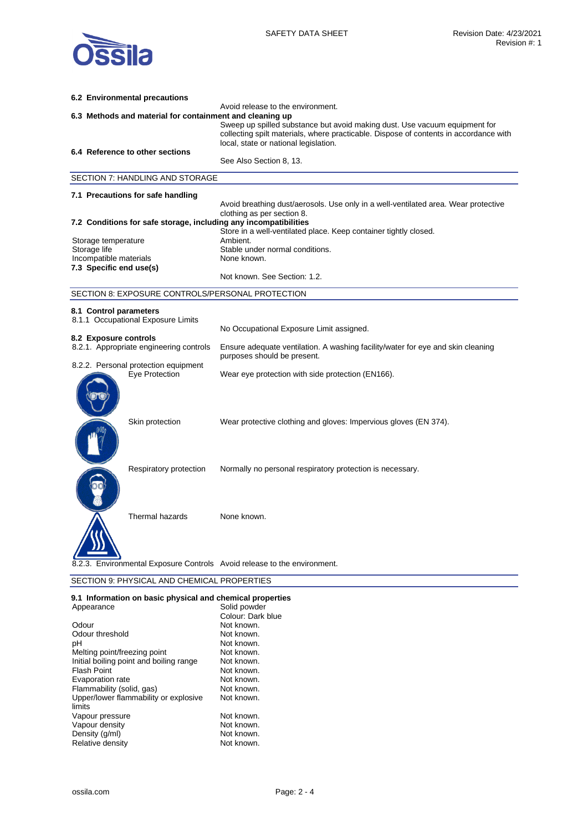

|              | 6.2 Environmental precautions                                    |                                                                                                                                                                                                              |
|--------------|------------------------------------------------------------------|--------------------------------------------------------------------------------------------------------------------------------------------------------------------------------------------------------------|
|              | 6.3 Methods and material for containment and cleaning up         | Avoid release to the environment.                                                                                                                                                                            |
|              |                                                                  | Sweep up spilled substance but avoid making dust. Use vacuum equipment for<br>collecting spilt materials, where practicable. Dispose of contents in accordance with<br>local, state or national legislation. |
|              | 6.4 Reference to other sections                                  | See Also Section 8, 13.                                                                                                                                                                                      |
|              |                                                                  |                                                                                                                                                                                                              |
|              | SECTION 7: HANDLING AND STORAGE                                  |                                                                                                                                                                                                              |
|              | 7.1 Precautions for safe handling                                |                                                                                                                                                                                                              |
|              |                                                                  | Avoid breathing dust/aerosols. Use only in a well-ventilated area. Wear protective<br>clothing as per section 8.                                                                                             |
|              | 7.2 Conditions for safe storage, including any incompatibilities |                                                                                                                                                                                                              |
|              | Storage temperature                                              | Store in a well-ventilated place. Keep container tightly closed.<br>Ambient.                                                                                                                                 |
| Storage life |                                                                  | Stable under normal conditions.                                                                                                                                                                              |
|              | Incompatible materials                                           | None known.                                                                                                                                                                                                  |
|              | 7.3 Specific end use(s)                                          | Not known. See Section: 1.2.                                                                                                                                                                                 |
|              | SECTION 8: EXPOSURE CONTROLS/PERSONAL PROTECTION                 |                                                                                                                                                                                                              |
|              |                                                                  |                                                                                                                                                                                                              |
|              | 8.1 Control parameters<br>8.1.1 Occupational Exposure Limits     |                                                                                                                                                                                                              |
|              |                                                                  | No Occupational Exposure Limit assigned.                                                                                                                                                                     |
|              | 8.2 Exposure controls<br>8.2.1. Appropriate engineering controls | Ensure adequate ventilation. A washing facility/water for eye and skin cleaning<br>purposes should be present.                                                                                               |
|              | 8.2.2. Personal protection equipment<br>Eye Protection           | Wear eye protection with side protection (EN166).                                                                                                                                                            |
|              | Skin protection                                                  | Wear protective clothing and gloves: Impervious gloves (EN 374).                                                                                                                                             |
|              | Respiratory protection                                           | Normally no personal respiratory protection is necessary.                                                                                                                                                    |
|              | Thermal hazards                                                  | None known.                                                                                                                                                                                                  |
|              |                                                                  | 8.2.3. Environmental Exposure Controls Avoid release to the environment.                                                                                                                                     |
|              | SECTION 9: PHYSICAL AND CHEMICAL PROPERTIES                      |                                                                                                                                                                                                              |
|              |                                                                  |                                                                                                                                                                                                              |

**9.1 Information on basic physical and chemical properties** 

| Appearance                              | Solid powder      |
|-----------------------------------------|-------------------|
|                                         | Colour: Dark blue |
| Odour                                   | Not known.        |
| Odour threshold                         | Not known.        |
| рH                                      | Not known.        |
| Melting point/freezing point            | Not known.        |
| Initial boiling point and boiling range | Not known.        |
| <b>Flash Point</b>                      | Not known.        |
| Evaporation rate                        | Not known.        |
| Flammability (solid, gas)               | Not known.        |
| Upper/lower flammability or explosive   | Not known.        |
| limits                                  |                   |
| Vapour pressure                         | Not known.        |
| Vapour density                          | Not known.        |
| Density (g/ml)                          | Not known.        |
| Relative density                        | Not known.        |
|                                         |                   |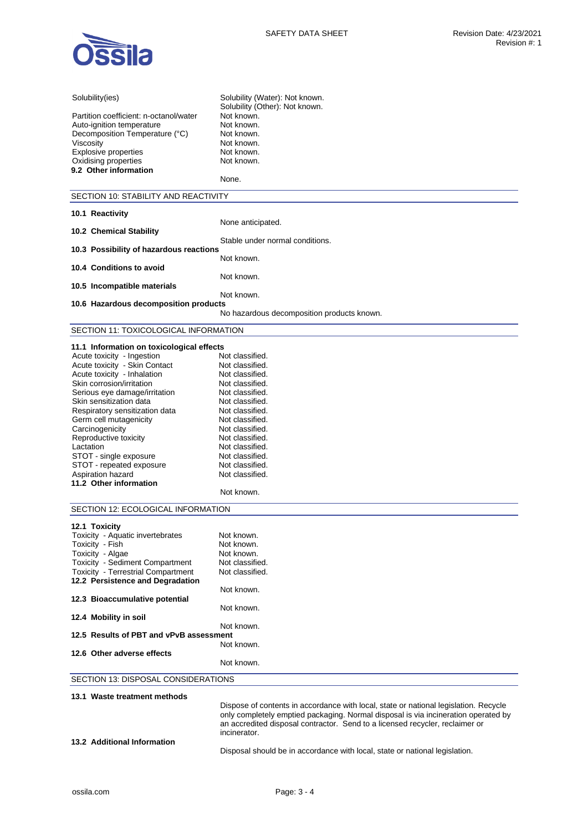

| Solubility(ies)                                                         | Solubility (Water): Not known.                                                       |  |
|-------------------------------------------------------------------------|--------------------------------------------------------------------------------------|--|
|                                                                         | Solubility (Other): Not known.                                                       |  |
| Partition coefficient: n-octanol/water                                  | Not known.                                                                           |  |
| Auto-ignition temperature                                               | Not known.                                                                           |  |
| Decomposition Temperature (°C)                                          | Not known.                                                                           |  |
| Viscosity<br><b>Explosive properties</b>                                | Not known.<br>Not known.                                                             |  |
| Oxidising properties                                                    | Not known.                                                                           |  |
| 9.2 Other information                                                   |                                                                                      |  |
|                                                                         | None.                                                                                |  |
| SECTION 10: STABILITY AND REACTIVITY                                    |                                                                                      |  |
|                                                                         |                                                                                      |  |
| 10.1 Reactivity                                                         | None anticipated.                                                                    |  |
| 10.2 Chemical Stability                                                 |                                                                                      |  |
|                                                                         | Stable under normal conditions.                                                      |  |
| 10.3 Possibility of hazardous reactions                                 |                                                                                      |  |
|                                                                         | Not known.                                                                           |  |
| 10.4 Conditions to avoid                                                | Not known.                                                                           |  |
| 10.5 Incompatible materials                                             |                                                                                      |  |
|                                                                         | Not known.                                                                           |  |
| 10.6 Hazardous decomposition products                                   |                                                                                      |  |
|                                                                         | No hazardous decomposition products known.                                           |  |
| SECTION 11: TOXICOLOGICAL INFORMATION                                   |                                                                                      |  |
|                                                                         |                                                                                      |  |
| 11.1 Information on toxicological effects<br>Acute toxicity - Ingestion | Not classified.                                                                      |  |
| Acute toxicity - Skin Contact                                           | Not classified.                                                                      |  |
| Acute toxicity - Inhalation                                             | Not classified.                                                                      |  |
| Skin corrosion/irritation                                               | Not classified.                                                                      |  |
| Serious eye damage/irritation                                           | Not classified.                                                                      |  |
| Skin sensitization data                                                 | Not classified.                                                                      |  |
| Respiratory sensitization data                                          | Not classified.                                                                      |  |
| Germ cell mutagenicity                                                  | Not classified.                                                                      |  |
| Carcinogenicity                                                         | Not classified.                                                                      |  |
| Reproductive toxicity                                                   | Not classified.                                                                      |  |
| Lactation                                                               | Not classified.                                                                      |  |
| STOT - single exposure                                                  | Not classified.<br>Not classified.                                                   |  |
| STOT - repeated exposure<br>Aspiration hazard                           | Not classified.                                                                      |  |
| 11.2 Other information                                                  |                                                                                      |  |
|                                                                         | Not known.                                                                           |  |
| SECTION 12: ECOLOGICAL INFORMATION                                      |                                                                                      |  |
|                                                                         |                                                                                      |  |
| 12.1 Toxicity<br>Toxicity - Aquatic invertebrates                       | Not known.                                                                           |  |
| Toxicity - Fish                                                         | Not known.                                                                           |  |
| Toxicity - Algae                                                        | Not known.                                                                           |  |
| Toxicity - Sediment Compartment                                         | Not classified.                                                                      |  |
| <b>Toxicity - Terrestrial Compartment</b>                               | Not classified.                                                                      |  |
| 12.2 Persistence and Degradation                                        |                                                                                      |  |
|                                                                         | Not known.                                                                           |  |
| 12.3 Bioaccumulative potential                                          |                                                                                      |  |
| 12.4 Mobility in soil                                                   | Not known.                                                                           |  |
|                                                                         | Not known.                                                                           |  |
| 12.5 Results of PBT and vPvB assessment                                 |                                                                                      |  |
|                                                                         | Not known.                                                                           |  |
| 12.6 Other adverse effects                                              |                                                                                      |  |
|                                                                         | Not known.                                                                           |  |
| SECTION 13: DISPOSAL CONSIDERATIONS                                     |                                                                                      |  |
| 13.1 Waste treatment methods                                            |                                                                                      |  |
|                                                                         | Dispose of contents in accordance with local, state or national legislation. Recycle |  |
|                                                                         | only completely emptied packaging. Normal disposal is via incineration operated by   |  |

Disposal should be in accordance with local, state or national legislation.

an accredited disposal contractor. Send to a licensed recycler, reclaimer or

**13.2 Additional Information** 

incinerator.